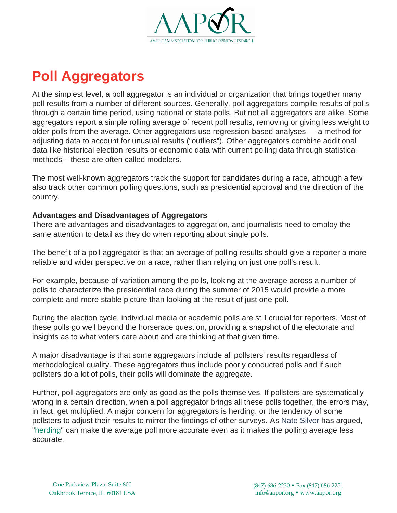

## **Poll Aggregators**

At the simplest level, a poll aggregator is an individual or organization that brings together many poll results from a number of different sources. Generally, poll aggregators compile results of polls through a certain time period, using national or state polls. But not all aggregators are alike. Some aggregators report a simple rolling average of recent poll results, removing or giving less weight to older polls from the average. Other aggregators use regression-based analyses — a method for adjusting data to account for unusual results ("outliers"). Other aggregators combine additional data like historical election results or economic data with current polling data through statistical methods – these are often called modelers.

The most well-known aggregators track the support for candidates during a race, although a few also track other common polling questions, such as presidential approval and the direction of the country.

## **Advantages and Disadvantages of Aggregators**

There are advantages and disadvantages to aggregation, and journalists need to employ the same attention to detail as they do when reporting about single polls.

The benefit of a poll aggregator is that an average of polling results should give a reporter a more reliable and wider perspective on a race, rather than relying on just one poll's result.

For example, because of variation among the polls, looking at the average across a number of polls to characterize the presidential race during the summer of 2015 would provide a more complete and more stable picture than looking at the result of just one poll.

During the election cycle, individual media or academic polls are still crucial for reporters. Most of these polls go well beyond the horserace question, providing a snapshot of the electorate and insights as to what voters care about and are thinking at that given time.

A major disadvantage is that some aggregators include all pollsters' results regardless of methodological quality. These aggregators thus include poorly conducted polls and if such pollsters do a lot of polls, their polls will dominate the aggregate.

Further, poll aggregators are only as good as the polls themselves. If pollsters are systematically wrong in a certain direction, when a poll aggregator brings all these polls together, the errors may, in fact, get multiplied. A major concern for aggregators is herding, or the tendency of some pollsters to adjust their results to mirror the findings of other surveys. As Nate [Silver](http://fivethirtyeight.com/features/heres-proof-some-pollsters-are-putting-a-thumb-on-the-scale/) has argued, ["herding"](https://www.aapor.org/AAPORKentico/Education-Resources/Election-Polling-Resources/Herding.aspx) [c](http://fivethirtyeight.com/features/heres-proof-some-pollsters-are-putting-a-thumb-on-the-scale/)an make the average poll more accurate even as it makes the polling average less accurate.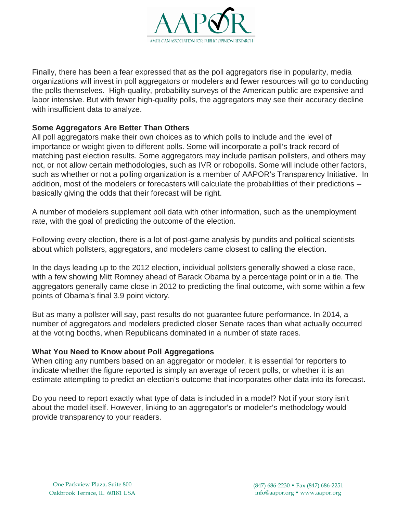

Finally, there has been a fear expressed that as the poll aggregators rise in popularity, media organizations will invest in poll aggregators or modelers and fewer resources will go to conducting the polls themselves. High-quality, probability surveys of the American public are expensive and labor intensive. But with fewer high-quality polls, the aggregators may see their accuracy decline with insufficient data to analyze.

## **Some Aggregators Are Better Than Others**

All poll aggregators make their own choices as to which polls to include and the level of importance or weight given to different polls. Some will incorporate a poll's track record of matching past election results. Some aggregators may include partisan pollsters, and others may not, or not allow certain methodologies, such as IVR or robopolls. Some will include other factors, such as whether or not a polling organization is a member of AAPOR's Transparency Initiative. In addition, most of the modelers or forecasters will calculate the probabilities of their predictions - basically giving the odds that their forecast will be right.

A number of modelers supplement poll data with other information, such as the unemployment rate, with the goal of predicting the outcome of the election.

Following every election, there is a lot of post-game analysis by pundits and political scientists about which pollsters, aggregators, and modelers came closest to calling the election.

In the days leading up to the 2012 election, individual pollsters generally showed a close race, with a few showing Mitt Romney ahead of Barack Obama by a percentage point or in a tie. The aggregators generally came close in 2012 to predicting the final outcome, with some within a few points of Obama's final 3.9 point victory.

But as many a pollster will say, past results do not guarantee future performance. In 2014, a number of aggregators and modelers predicted closer Senate races than what actually occurred at the voting booths, when Republicans dominated in a number of state races.

## **What You Need to Know about Poll Aggregations**

When citing any numbers based on an aggregator or modeler, it is essential for reporters to indicate whether the figure reported is simply an average of recent polls, or whether it is an estimate attempting to predict an election's outcome that incorporates other data into its forecast.

Do you need to report exactly what type of data is included in a model? Not if your story isn't about the model itself. However, linking to an aggregator's or modeler's methodology would provide transparency to your readers.